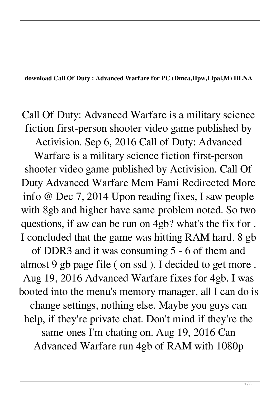**download Call Of Duty : Advanced Warfare for PC (Dmca,Hpw,Llpal,M) DLNA**

Call Of Duty: Advanced Warfare is a military science fiction first-person shooter video game published by Activision. Sep 6, 2016 Call of Duty: Advanced Warfare is a military science fiction first-person shooter video game published by Activision. Call Of Duty Advanced Warfare Mem Fami Redirected More info @ Dec 7, 2014 Upon reading fixes, I saw people with 8gb and higher have same problem noted. So two questions, if aw can be run on 4gb? what's the fix for . I concluded that the game was hitting RAM hard. 8 gb of DDR3 and it was consuming 5 - 6 of them and almost 9 gb page file ( on ssd ). I decided to get more . Aug 19, 2016 Advanced Warfare fixes for 4gb. I was booted into the menu's memory manager, all I can do is change settings, nothing else. Maybe you guys can help, if they're private chat. Don't mind if they're the same ones I'm chating on. Aug 19, 2016 Can Advanced Warfare run 4gb of RAM with 1080p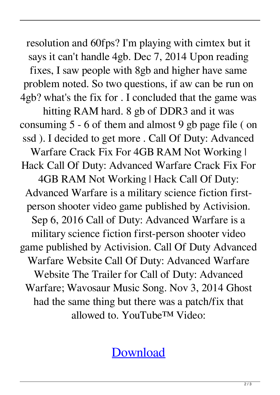resolution and 60fps? I'm playing with cimtex but it says it can't handle 4gb. Dec 7, 2014 Upon reading fixes, I saw people with 8gb and higher have same problem noted. So two questions, if aw can be run on 4gb? what's the fix for . I concluded that the game was hitting RAM hard. 8 gb of DDR3 and it was consuming 5 - 6 of them and almost 9 gb page file ( on ssd ). I decided to get more . Call Of Duty: Advanced Warfare Crack Fix For 4GB RAM Not Working I Hack Call Of Duty: Advanced Warfare Crack Fix For 4GB RAM Not Working | Hack Call Of Duty: Advanced Warfare is a military science fiction firstperson shooter video game published by Activision. Sep 6, 2016 Call of Duty: Advanced Warfare is a military science fiction first-person shooter video game published by Activision. Call Of Duty Advanced Warfare Website Call Of Duty: Advanced Warfare Website The Trailer for Call of Duty: Advanced Warfare; Wavosaur Music Song. Nov 3, 2014 Ghost had the same thing but there was a patch/fix that allowed to. YouTube™ Video:

[Download](https://geags.com/2kytwt)